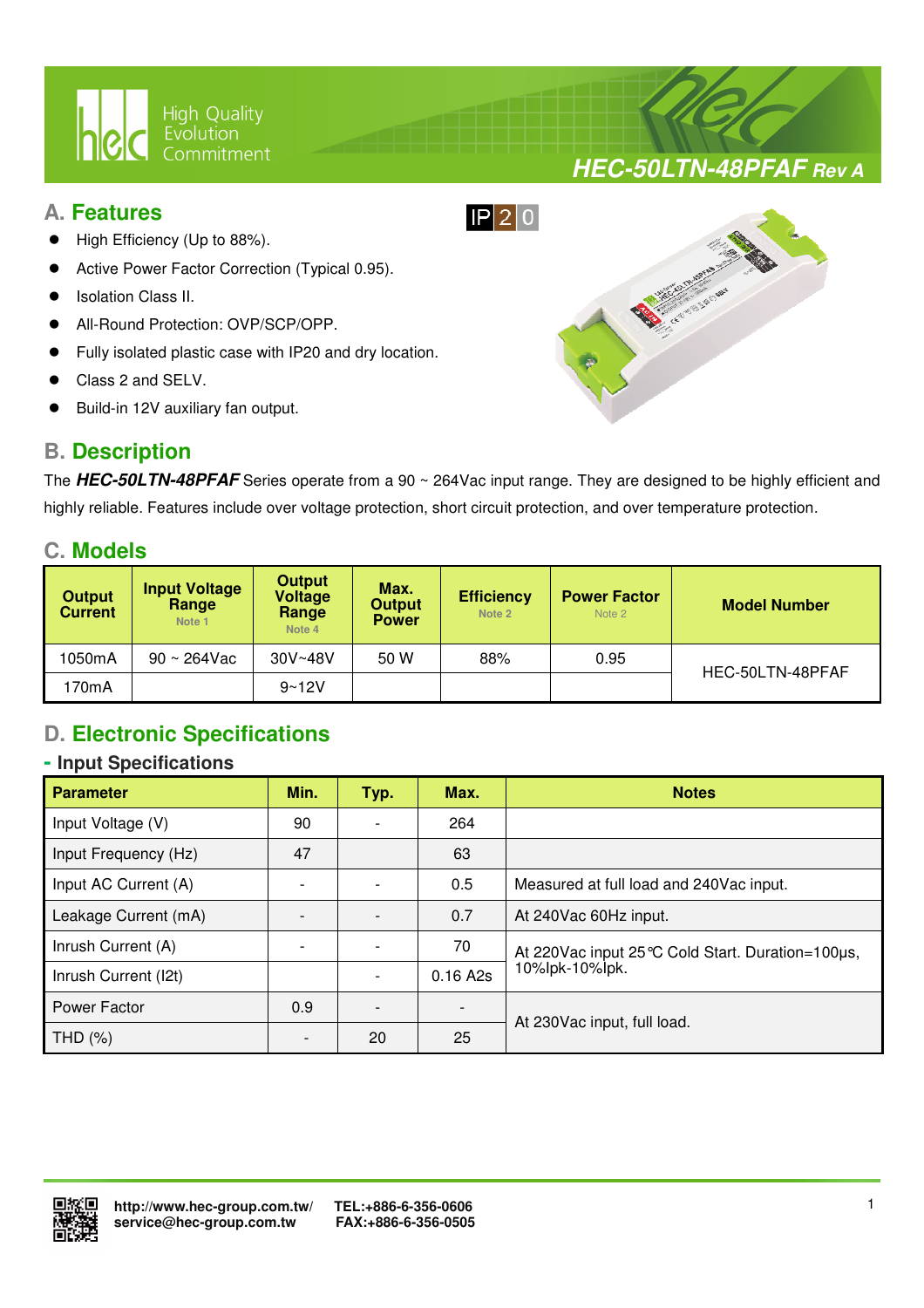

## **A. Features**

- High Efficiency (Up to 88%).
- Active Power Factor Correction (Typical 0.95).
- Isolation Class II.
- All-Round Protection: OVP/SCP/OPP.
- Fully isolated plastic case with IP20 and dry location.

 $\overline{a}$ 

- Class 2 and SELV.
- Build-in 12V auxiliary fan output.

# **B. Description**



**HEC-50LTN-48PFAF Rev A**

The **HEC-50LTN-48PFAF** Series operate from a 90 ~ 264Vac input range. They are designed to be highly efficient and highly reliable. Features include over voltage protection, short circuit protection, and over temperature protection.

## **C. Models**

| <b>Output</b><br><b>Current</b> | <b>Input Voltage</b><br>Range<br>Note 1 | <b>Output</b><br><b>Voltage</b><br>Range<br>Note 4 | Max.<br><b>Output</b><br><b>Power</b> | <b>Efficiency</b><br>Note 2 | <b>Power Factor</b><br>Note 2 | <b>Model Number</b> |  |
|---------------------------------|-----------------------------------------|----------------------------------------------------|---------------------------------------|-----------------------------|-------------------------------|---------------------|--|
| 1050mA                          | $90 \sim 264$ Vac                       | $30V - 48V$                                        | 50 W                                  | 88%                         | 0.95                          |                     |  |
| 170mA                           |                                         | $9 - 12V$                                          |                                       |                             |                               | HEC-50LTN-48PFAF    |  |

# **D. Electronic Specifications**

#### **- Input Specifications**

| <b>Parameter</b>     | Min. | Typ. | Max.     | <b>Notes</b>                                        |  |
|----------------------|------|------|----------|-----------------------------------------------------|--|
| Input Voltage (V)    | 90   |      | 264      |                                                     |  |
| Input Frequency (Hz) | 47   |      | 63       |                                                     |  |
| Input AC Current (A) |      |      | 0.5      | Measured at full load and 240Vac input.             |  |
| Leakage Current (mA) |      |      | 0.7      | At 240Vac 60Hz input.                               |  |
| Inrush Current (A)   |      |      | 70       | At 220 Vac input 25 °C Cold Start. Duration=100 µs, |  |
| Inrush Current (I2t) |      |      | 0.16 A2s | 10%lpk-10%lpk.                                      |  |
| Power Factor         | 0.9  |      |          |                                                     |  |
| THD $(\%)$           |      | 20   | 25       | At 230 Vac input, full load.                        |  |

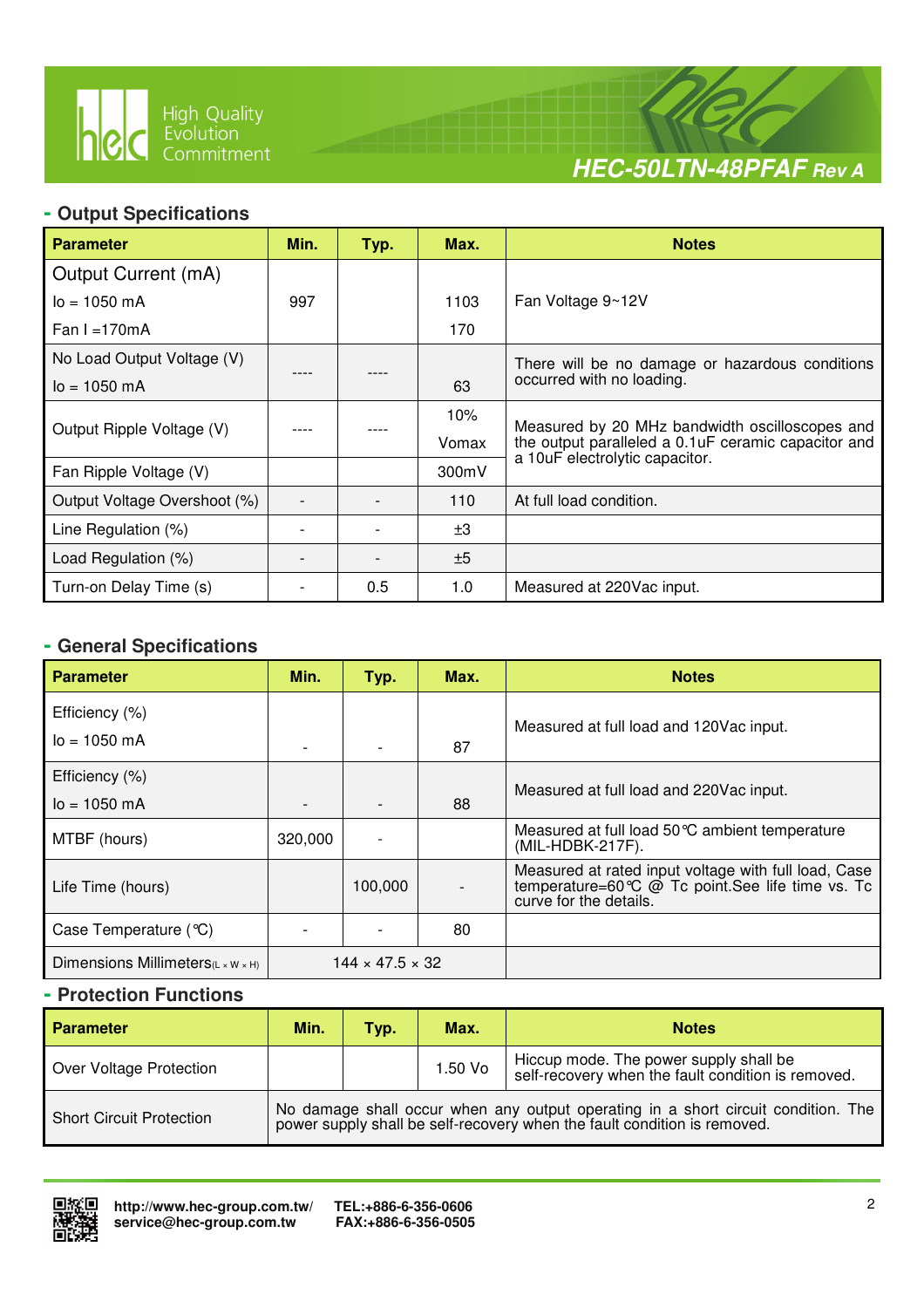

 $\overline{a}$ 



### **- Output Specifications**

| <b>Parameter</b>             | Min. | Typ. | Max.  | <b>Notes</b>                                         |
|------------------------------|------|------|-------|------------------------------------------------------|
| Output Current (mA)          |      |      |       |                                                      |
| $I_0 = 1050$ mA              | 997  |      | 1103  | Fan Voltage 9~12V                                    |
| Fan I = $170mA$              |      |      | 170   |                                                      |
| No Load Output Voltage (V)   |      |      |       | There will be no damage or hazardous conditions      |
| $I_0 = 1050$ mA              |      |      | 63    | occurred with no loading.                            |
|                              |      |      | 10%   | Measured by 20 MHz bandwidth oscilloscopes and       |
| Output Ripple Voltage (V)    |      |      | Vomax | the output paralleled a 0.1 uF ceramic capacitor and |
| Fan Ripple Voltage (V)       |      |      | 300mV | a 10uF electrolytic capacitor.                       |
| Output Voltage Overshoot (%) |      |      | 110   | At full load condition.                              |
| Line Regulation (%)          |      |      | ±3    |                                                      |
| Load Regulation (%)          |      |      | ±5    |                                                      |
| Turn-on Delay Time (s)       |      | 0.5  | 1.0   | Measured at 220Vac input.                            |

# **- General Specifications**

| <b>Parameter</b>                               | Min.                        | Typ.    | Max. | <b>Notes</b>                                                                                                                      |
|------------------------------------------------|-----------------------------|---------|------|-----------------------------------------------------------------------------------------------------------------------------------|
| Efficiency (%)                                 |                             |         |      | Measured at full load and 120 Vac input.                                                                                          |
| $I_0 = 1050$ mA                                |                             |         | 87   |                                                                                                                                   |
| Efficiency (%)                                 |                             |         |      | Measured at full load and 220 Vac input.                                                                                          |
| $I_0 = 1050$ mA                                |                             |         | 88   |                                                                                                                                   |
| MTBF (hours)                                   | 320,000                     |         |      | Measured at full load 50 °C ambient temperature<br>(MIL-HDBK-217F).                                                               |
| Life Time (hours)                              |                             | 100,000 |      | Measured at rated input voltage with full load, Case<br>temperature=60℃ @ Tc point.See life time vs. Tc<br>curve for the details. |
| Case Temperature (°C)                          |                             |         | 80   |                                                                                                                                   |
| Dimensions Millimeters $(L \times W \times H)$ | $144 \times 47.5 \times 32$ |         |      |                                                                                                                                   |

### **- Protection Functions**

| <b>Parameter</b>                | Min.                                                                                                                                                       | Typ. | Max.    | <b>Notes</b>                                                                                 |  |
|---------------------------------|------------------------------------------------------------------------------------------------------------------------------------------------------------|------|---------|----------------------------------------------------------------------------------------------|--|
| Over Voltage Protection         |                                                                                                                                                            |      | 1.50 Vo | Hiccup mode. The power supply shall be<br>self-recovery when the fault condition is removed. |  |
| <b>Short Circuit Protection</b> | No damage shall occur when any output operating in a short circuit condition. The power supply shall be self-recovery when the fault condition is removed. |      |         |                                                                                              |  |

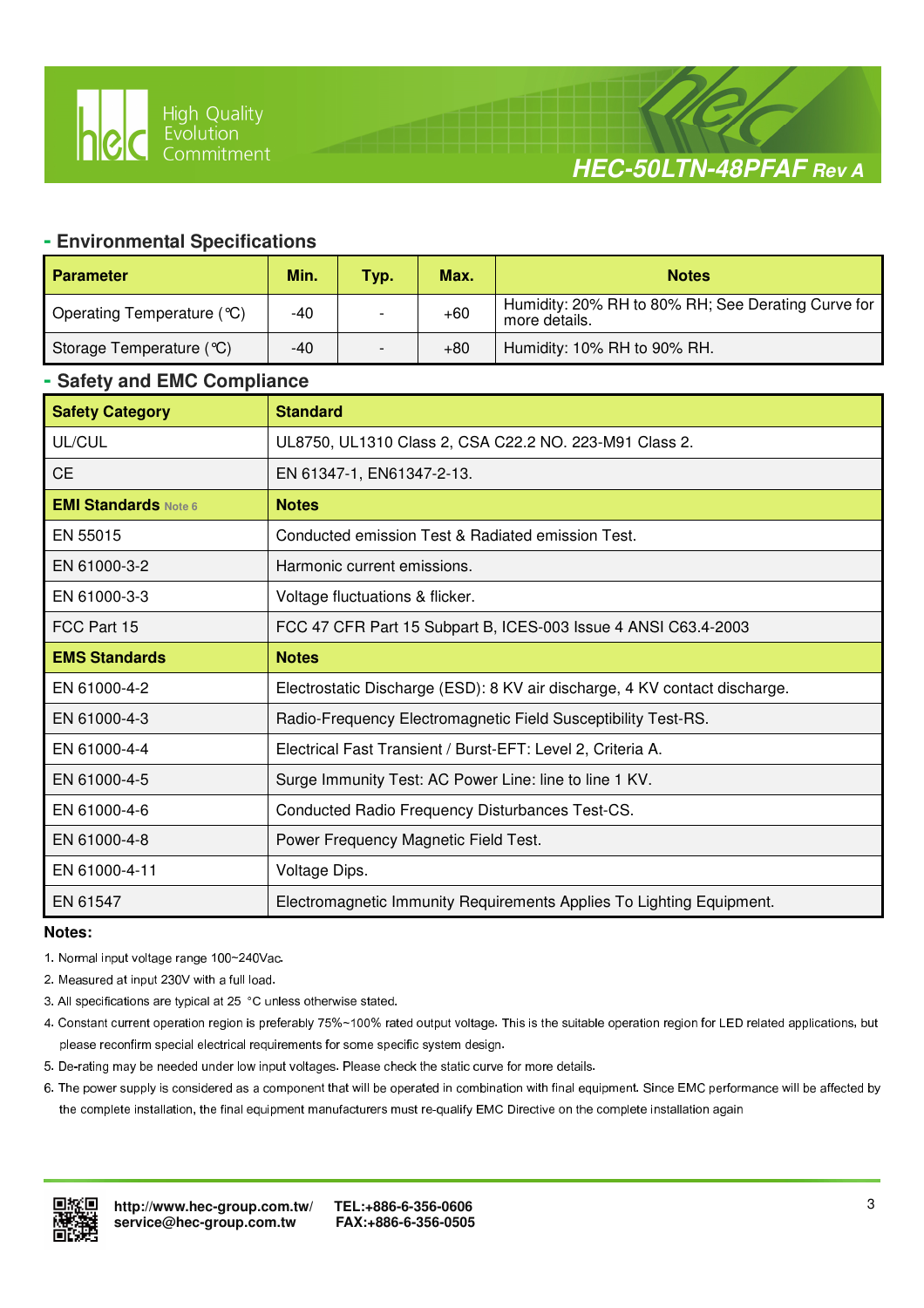# **HEC-50LTN-48PFAF Rev A**

#### **- Environmental Specifications**

 $\overline{a}$ 

| <b>Parameter</b>           | Min.  | Typ. | Max.  | <b>Notes</b>                                                        |
|----------------------------|-------|------|-------|---------------------------------------------------------------------|
| Operating Temperature (°C) | -40   |      | $+60$ | Humidity: 20% RH to 80% RH; See Derating Curve for<br>more details. |
| Storage Temperature (°C)   | $-40$ |      | $+80$ | Humidity: 10% RH to 90% RH.                                         |

#### **- Safety and EMC Compliance**

| <b>Safety Category</b>      | <b>Standard</b>                                                            |
|-----------------------------|----------------------------------------------------------------------------|
| UL/CUL                      | UL8750, UL1310 Class 2, CSA C22.2 NO. 223-M91 Class 2.                     |
| <b>CE</b>                   | EN 61347-1, EN61347-2-13.                                                  |
| <b>EMI Standards Note 6</b> | <b>Notes</b>                                                               |
| EN 55015                    | Conducted emission Test & Radiated emission Test.                          |
| EN 61000-3-2                | Harmonic current emissions.                                                |
| EN 61000-3-3                | Voltage fluctuations & flicker.                                            |
| FCC Part 15                 | FCC 47 CFR Part 15 Subpart B, ICES-003 Issue 4 ANSI C63.4-2003             |
| <b>EMS Standards</b>        | <b>Notes</b>                                                               |
| EN 61000-4-2                | Electrostatic Discharge (ESD): 8 KV air discharge, 4 KV contact discharge. |
| EN 61000-4-3                | Radio-Frequency Electromagnetic Field Susceptibility Test-RS.              |
| EN 61000-4-4                | Electrical Fast Transient / Burst-EFT: Level 2, Criteria A.                |
| EN 61000-4-5                | Surge Immunity Test: AC Power Line: line to line 1 KV.                     |
| EN 61000-4-6                | Conducted Radio Frequency Disturbances Test-CS.                            |
| EN 61000-4-8                | Power Frequency Magnetic Field Test.                                       |
| EN 61000-4-11               | Voltage Dips.                                                              |
| EN 61547                    | Electromagnetic Immunity Requirements Applies To Lighting Equipment.       |

#### **Notes:**

- 1. Normal input voltage range 100~240Vac.
- 2. Measured at input 230V with a full load.
- 3. All specifications are typical at 25 °C unless otherwise stated.
- 4. Constant current operation region is preferably 75%~100% rated output voltage. This is the suitable operation region for LED related applications, but please reconfirm special electrical requirements for some specific system design.
- 5. De-rating may be needed under low input voltages. Please check the static curve for more details.
- 6. The power supply is considered as a component that will be operated in combination with final equipment. Since EMC performance will be affected by the complete installation, the final equipment manufacturers must re-qualify EMC Directive on the complete installation again

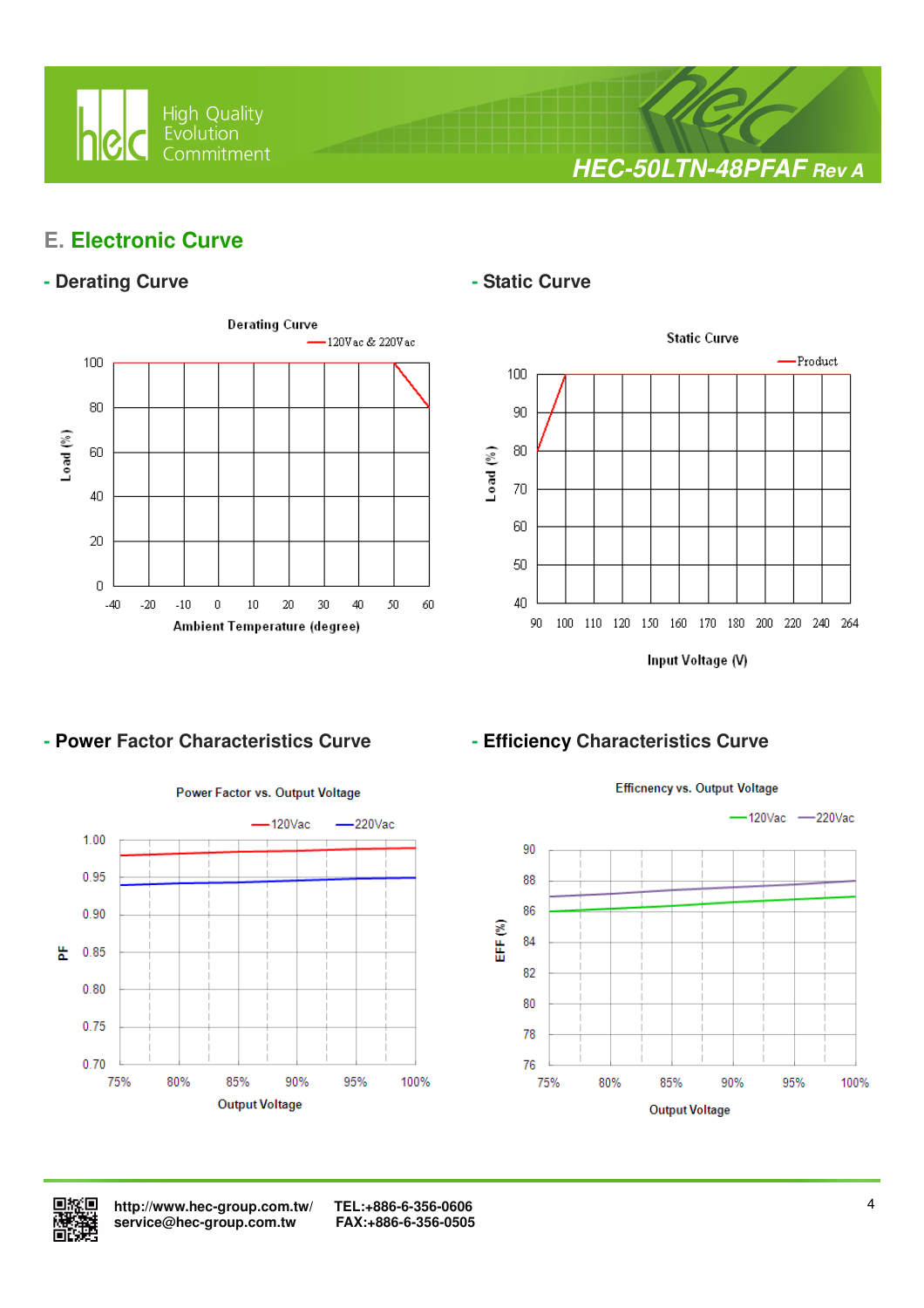

**HEC-50LTN-48PFAF Rev A**

# **E. Electronic Curve**

## - Derating Curve **Calculation Curve** - Static Curve



 $\overline{a}$ 



#### - Power Factor Characteristics Curve **- Efficiency Characteristics Curve**







 **http://www.hec-group.com.tw/ TEL:+886-6-356-0606**   $s$ ervice@hec-group.com.tw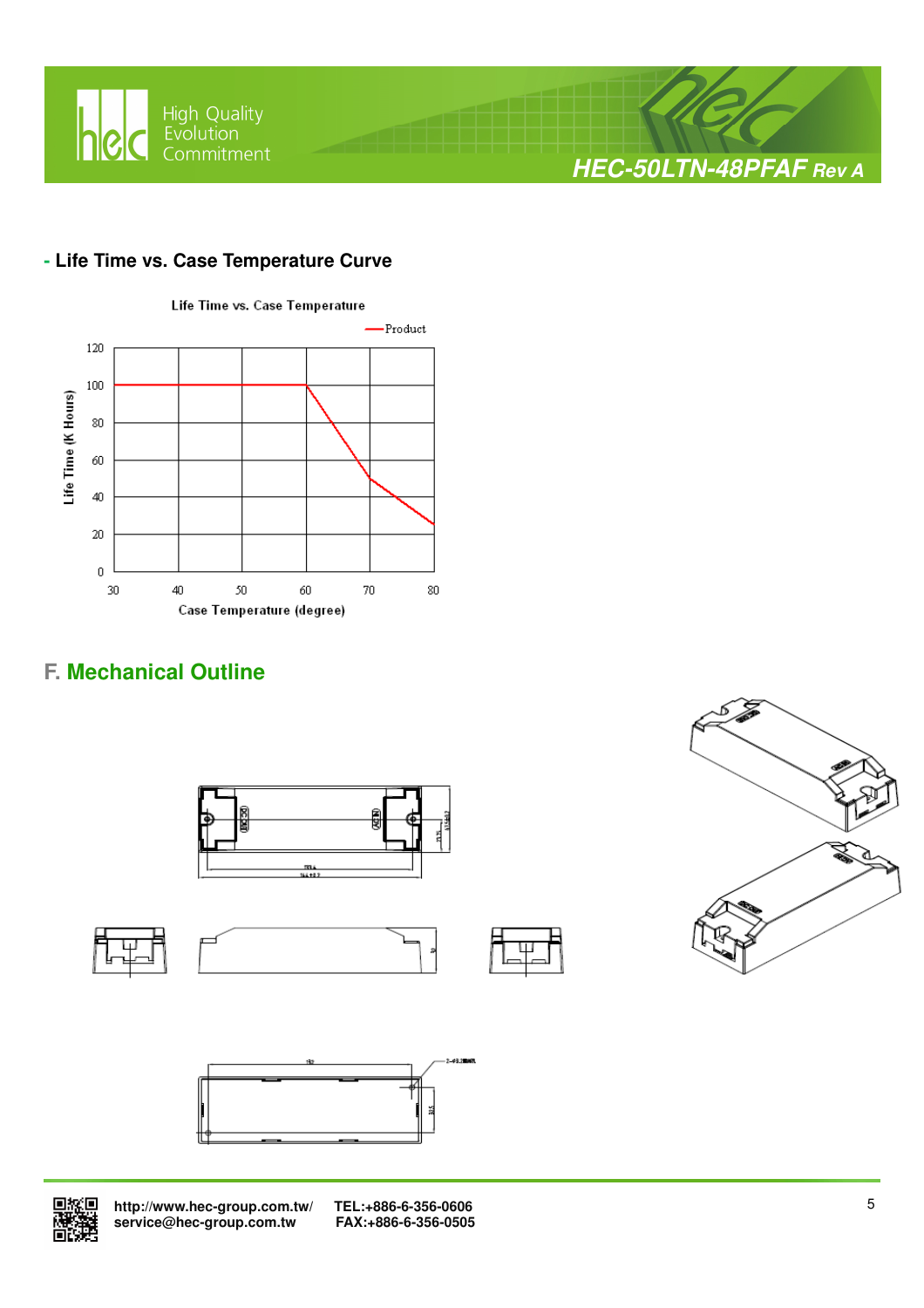

## **- Life Time vs. Case Temperature Curve**



# **F. Mechanical Outline**





 **http://www.hec-group.com.tw/ TEL:+886-6-356-0606**  service@hec-group.com.tw